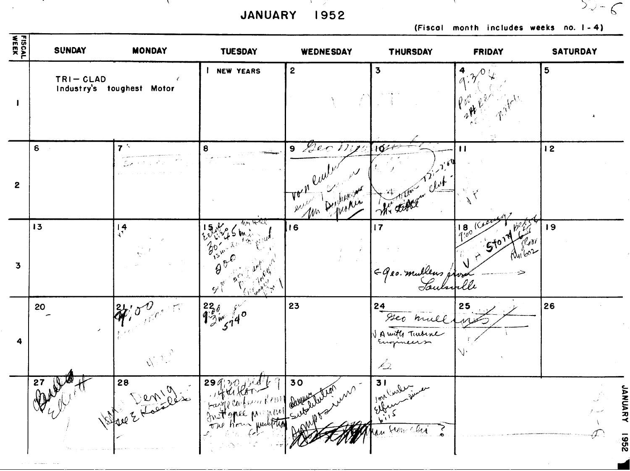and the contract of the state of the state of the JANUARY 1952

 $\sim$   $\sim$ 

 $\sim$ 

 $\mathcal{L}$ 

(Fiscol month includes weeks no. 1-4)

 $52-6$ 

 $\sim$   $\sim$ 

| FISCAL<br>WEEK          | SUNDAY                               | <b>MONDAY</b>                                         | <b>TUESDAY</b>                                                             | WEDNESDAY                | THURSDAY                            | <b>FRIDAY</b>                      | SATURDAY        |
|-------------------------|--------------------------------------|-------------------------------------------------------|----------------------------------------------------------------------------|--------------------------|-------------------------------------|------------------------------------|-----------------|
| $\mathbf{I}$            | $TRI - GLAD$                         | $\epsilon$<br>Industry's toughest Motor               | <b>NEW YEARS</b>                                                           | $\mathbf{2}$             | $\overline{\mathbf{3}}$             | 4                                  | $5\phantom{.0}$ |
| $\mathbf{2}$            | 6                                    | $7^{\frac{1}{2}}$                                     | 8                                                                          | $9$ fec<br>1771<br>$M^*$ | $10 -$                              | $\mathbf{H}$                       | 12              |
| $\overline{\mathbf{3}}$ | 13                                   | $\frac{14}{11}$                                       | क्ष्त्रास्खर<br>$\partial^\vee_{\mathbf{1}^{\mathbf{5}^\mathbf{v}}}$<br>ダー | 16                       | 17<br>Ggeo. mulleus p<br>Saulanelle | $18\sqrt{100}$<br>Lori<br>$\alpha$ | 19              |
| 4                       | 20                                   | $\mathbb{Z}_{p^{\frac{1}{2}+\epsilon}}$<br>$\sqrt{2}$ | $1280$<br>$139/140$                                                        | 23                       | 24<br>with Turbine<br>12.           | 25                                 | 26              |
|                         | $\frac{27}{4}$<br>$\mathbb{Q}^{\mu}$ | Bre 2 France                                          | 299/20<br>Large Carbon Report aux 1000<br>The Hour weiter                  | 30<br>where<br>AMP PS    | bins Current<br>Jean-Clu<br>hau -   |                                    | x               |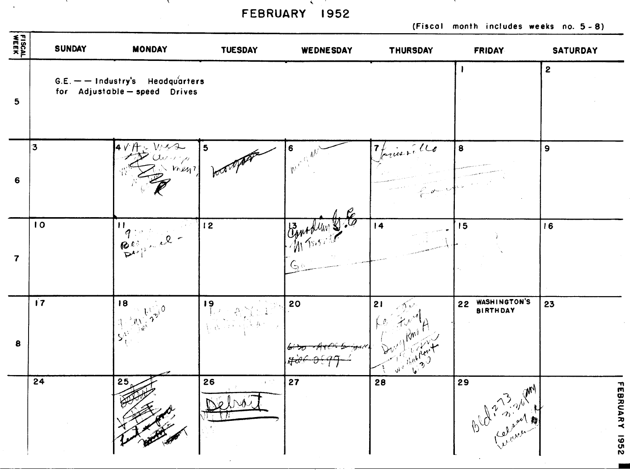**FEBRUARY 1952** 

 $\mathbf{X} = \mathbf{X} \times \mathbf{X}$  , where  $\mathbf{X} = \mathbf{X} \times \mathbf{X}$  , where  $\mathbf{X} = \mathbf{X} \times \mathbf{X}$ 

**Contract Contract** 

 $\mathcal{A}^{\pm}$ 

**(Fiscal month includes weeks no. 5** - **8)** 

**CONTRACTOR** 

| FISCAL<br>WEEK          | <b>SUNDAY</b> | <b>MONDAY</b>                                                     | <b>TUESDAY</b>                           | WEDNESDAY | THURSDAY                                                          | <b>FRIDAY</b>                         | <b>SATURDAY</b>     |
|-------------------------|---------------|-------------------------------------------------------------------|------------------------------------------|-----------|-------------------------------------------------------------------|---------------------------------------|---------------------|
| 5 <sub>5</sub>          |               | $G.E.$ - Industry's Headquarters<br>for Adjustable - speed Drives |                                          |           |                                                                   |                                       | $\overline{2}$      |
| 6                       | $\mathbf{3}$  | $4VH + W42$<br>$\omega$ , $\varphi$<br>men?                       | 5                                        | 6<br>W٠   | tories . 16<br>$f^{\circ}$                                        | 8                                     | $\mathbf{9}$        |
| $\overline{\mathbf{7}}$ | 10            | $\mathbf{H}$<br>$q$ :<br>$\mathcal{Q}$<br>Bea                     | 12                                       | G o       | 4                                                                 | 15                                    | 16                  |
| 8                       | $\mathbf{17}$ | 18<br>$\sum_{i=1}^{n} 0$<br>ै ॥ ।<br>़्<br>$\mathsf{S}_i^\lambda$ | 19                                       | 20        | 21<br>イレ<br>The flow T<br>$\mathbf{v}^{\mathbf{v}^{\mathcal{J}}}$ | WASHINGTON'S<br>22<br><b>BIRTHDAY</b> | 23                  |
|                         | 24            | 25<br>20                                                          | 26<br>a post<br>Debrois<br><b>TATION</b> | 27        | 28                                                                | 29<br>$\mathcal{N}$<br>Bld minister   | 곪<br>BRUARY<br>7961 |

-- 11 - 11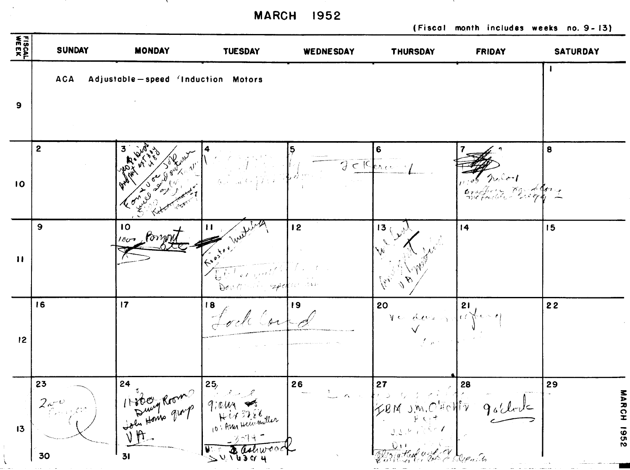**MARCH 1952** 

**Contract** 

 $\pm$  $\overline{\mathcal{L}}$  **(Fiscal month includes weeks no. 9- 13)** 

 $\lambda$ 

| FISCAL<br>WEEK | <b>SUNDAY</b>           | <b>MONDAY</b>                      | <b>TUESDAY</b>                                                                                                                                    | <b>WEDNESDAY</b> | <b>THURSDAY</b>                                                                                      | <b>FRIDAY</b>                     | <b>SATURDAY</b>     |
|----------------|-------------------------|------------------------------------|---------------------------------------------------------------------------------------------------------------------------------------------------|------------------|------------------------------------------------------------------------------------------------------|-----------------------------------|---------------------|
| $\mathbf{9}$   | <b>ACA</b>              | Adjustable-speed (Induction Motors |                                                                                                                                                   |                  |                                                                                                      |                                   |                     |
| 10             | $\mathbf{2}$            |                                    | $\label{eq:QCD} Q_{\mu\nu} = \frac{1}{\sqrt{2\pi}}\left(1+\frac{1}{\sqrt{2}}\right)^{\frac{1}{2}}\left(1-\frac{1}{\sqrt{2}}\right)^{\frac{1}{2}}$ |                  | 6<br>356                                                                                             |                                   | 8                   |
| $\mathbf{H}$   | 9                       | 10 <sub>10</sub><br>nos Comon      | Second !!<br>机高力<br>$\cdots$ appli<br>Dev G                                                                                                       | 12<br>十八 尼威 斜    | 13 <sub>0</sub>                                                                                      | 14                                | 15                  |
| 12             | 16                      | 17                                 | 18                                                                                                                                                | 19               | 20<br>No derany<br>$\int_{\mathbb{R}^d} \rho(\lambda) \, d\lambda \, d\lambda$                       | 21<br>$\alpha \in \mathbb{R}^{d}$ | 22                  |
| 13             | 23<br>$2e^{\phi}$<br>30 | 24<br>11800 Rooms<br>V<br>31       | 25/<br>جمر من مجمل ال<br>9:eun<br>Hir 3288<br>10: Aug Heig miller<br>3514-<br>SUNGSON                                                             | 26               | 27<br>J.M. O'Holtiz<br>TQ M<br>$\forall,\, \xi,\, \xi$<br>$\mathbb{Q}_1$ )<br>Viz With and V Depoils | 28<br>$9$ o'clock                 | 29<br>NARCH<br>7361 |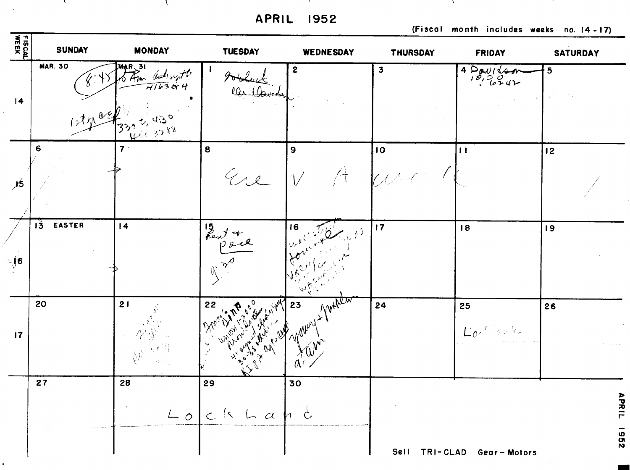**APRIL 1952** 

(Fiscal month includes weeks no. 14-17)



 $\mathbf{k}$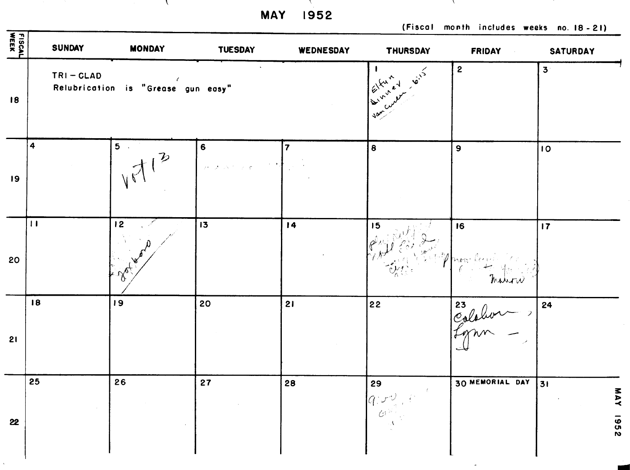the contract of the Contract of the **MAY 1952** 

 $\mathcal{L}$ 

(Fiscal month includes weeks no. 18-21)

and Albert

| FISCAL<br>WEEK | <b>SUNDAY</b>    | <b>MONDAY</b>                          | <b>TUESDAY</b>                                                                                                                                  | WEDNESDAY | THURSDAY                                                                                                                                                                                                                                                                                                                                                                                                                                                                   | <b>FRIDAY</b><br>$\sim 0.01$ | <b>SATURDAY</b>               |
|----------------|------------------|----------------------------------------|-------------------------------------------------------------------------------------------------------------------------------------------------|-----------|----------------------------------------------------------------------------------------------------------------------------------------------------------------------------------------------------------------------------------------------------------------------------------------------------------------------------------------------------------------------------------------------------------------------------------------------------------------------------|------------------------------|-------------------------------|
| 18             | $TRI - GLAD$     | Relubrication is "Grease gun easy"     |                                                                                                                                                 |           | $\overrightarrow{\mathbf{v}}^{1}$<br>$16x^2$<br>$\frac{1}{2}\int_{0}^{\frac{1}{2}}\int_{0}^{\frac{1}{2}}\int_{0}^{\frac{1}{2}}\left( \int_{0}^{\frac{1}{2}}\left( \int_{0}^{\frac{1}{2}}\left( \int_{0}^{\frac{1}{2}}\left( \int_{0}^{\frac{1}{2}}\left( \int_{0}^{\frac{1}{2}}\left( \int_{0}^{\frac{1}{2}}\left( \int_{0}^{\frac{1}{2}}\left( \int_{0}^{\frac{1}{2}}\left( \int_{0}^{\frac{1}{2}}\left( \int_{0}^{\frac{1}{2}}\left( \int_{0}^{\frac{1}{2$<br>$\sqrt{2}$ | $\mathbf{2}$                 | 3 <sup>1</sup>                |
| 19             | $\ddot{\bullet}$ | 5 <sup>o</sup>                         | $\bf 6$<br>$\overline{\mathcal{D}}$ , $\overline{\mathcal{D}}$ , $\overline{\mathcal{N}}$ , $\overline{\mathcal{D}}$ , $\overline{\mathcal{D}}$ | 7         | 8                                                                                                                                                                                                                                                                                                                                                                                                                                                                          | $\mathbf{9}$                 | $\overline{\phantom{a}}$      |
| 20             | $\mathbf{H}$     | 12<br>$\sim$<br>$\mathscr{R}_{\alpha}$ | 13                                                                                                                                              | 14        | 15                                                                                                                                                                                                                                                                                                                                                                                                                                                                         | 16<br>Whow Capt<br>matin     | 17                            |
| 21             | 18               | 19                                     | 20                                                                                                                                              | 21        | 22                                                                                                                                                                                                                                                                                                                                                                                                                                                                         | Eslahon )                    | 24                            |
| 22             | 25               | 26                                     | 27                                                                                                                                              | 28        | 29                                                                                                                                                                                                                                                                                                                                                                                                                                                                         | 30 MEMORIAL DAY              | 31<br>Ŧ<br><b>AVI</b><br>1952 |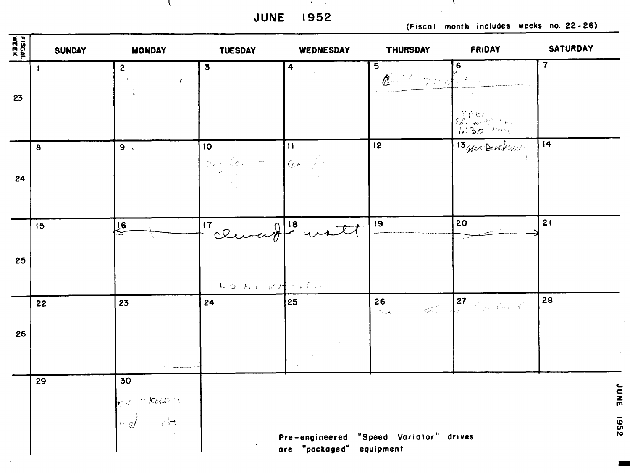**JUNE 1952** 

and the contract of the contract of the

an Alban

 $\sim$   $\sim$ 

 $\mathcal{L}$ 

**(Fiscal month includes weeks no. 22- 26)** 

 $\mathcal{L} = \mathcal{L}$ 

| <b>FISCAL</b><br>WEEK | <b>SUNDAY</b> | <b>MONDAY</b>                                                                                                                                                          | <b>TUESDAY</b>               | <b>WEDNESDAY</b>                                    | <b>THURSDAY</b>                      | <b>FRIDAY</b>      | <b>SATURDAY</b>     |
|-----------------------|---------------|------------------------------------------------------------------------------------------------------------------------------------------------------------------------|------------------------------|-----------------------------------------------------|--------------------------------------|--------------------|---------------------|
| 23                    |               | $\mathbf{2}$<br>$\sum_{\alpha\in\mathcal{C}}\alpha_{\alpha\beta}$ , where<br>$\epsilon$<br>$\sum_{\mathbf{k}}^{(\mathbf{r},\mathbf{r})} \hat{\mathbf{r}}_{\mathbf{k}}$ | $\overline{\mathbf{3}}$      | $\overline{\mathbf{4}}$                             | $5\phantom{.0}$<br>$\ell$ is pulse.  | 6                  | 7                   |
|                       |               |                                                                                                                                                                        |                              |                                                     |                                      | EP bande<br>6.30   |                     |
| 24                    | 8             | 9.1                                                                                                                                                                    | 10 <sub>o</sub><br>Comfort - | $\mathbf{H}$<br>$ Q_{\bm{d}} _{\infty} \neq \infty$ | 12                                   | 13 mi Duckens!     | 14                  |
|                       | 15            | $\sqrt{6}$                                                                                                                                                             | "clucif" watt                |                                                     | 9                                    | 20                 | 21                  |
| 25                    |               |                                                                                                                                                                        | LD ha VAter Car              |                                                     |                                      |                    |                     |
| 26                    | 22            | 23                                                                                                                                                                     | 24                           | 25                                                  | 26                                   | 26 and 27 for land | 28                  |
|                       |               |                                                                                                                                                                        |                              |                                                     |                                      |                    |                     |
|                       | 29            | 30<br>RAT KALTA                                                                                                                                                        |                              |                                                     |                                      |                    | $\leftarrow$<br>JNE |
|                       |               |                                                                                                                                                                        |                              | Pre-engineered<br>"packaged"<br>are                 | "Speed Variator" drives<br>equipment |                    | <b>7261</b>         |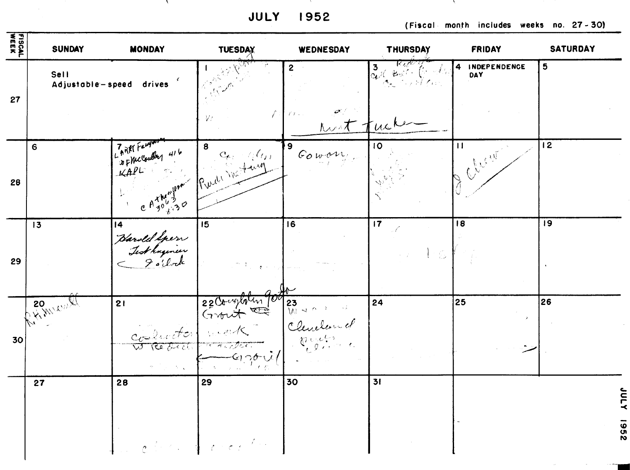**JULY** 1952

(Fiscal month includes weeks no. 27-30)

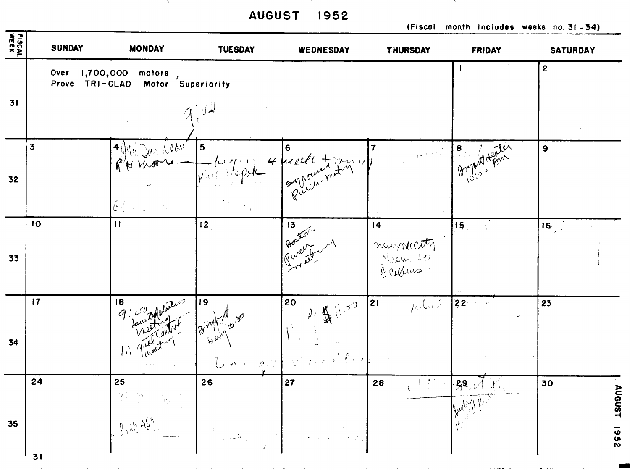**AUGUST 1952** 

**Contract Contract** 

**(Fiscal month includes weeks no.31-34)** 

the contract was a second contract of the contract of the contract of the contract of the

 $\sim 10^7$ 

 $\sim$ 

| FISCAL | <b>SUNDAY</b>          | <b>MONDAY</b>                                                    | <b>TUESDAY</b>                 | WEDNESDAY                                                                                                                                                            | THURSDAY                                  | <b>FRIDAY</b>   | <b>SATURDAY</b>                 |
|--------|------------------------|------------------------------------------------------------------|--------------------------------|----------------------------------------------------------------------------------------------------------------------------------------------------------------------|-------------------------------------------|-----------------|---------------------------------|
| 31     | Over<br>Prove TRI-CLAD | 1,700,000<br>motors<br>Motor Superiority                         | $\left(\frac{1}{2}\right)$     |                                                                                                                                                                      |                                           |                 | $\mathbf{2}$                    |
| 32     | $\mathbf{3}$           | i Juli Wam<br>of H moore<br>$[{\mathfrak{b}}]$ , and             | 5<br>philosophe                | 6<br>4 mars 1 17 11                                                                                                                                                  | $\overline{7}$<br>$\mu\in\mathbb{R}$ A    | Buyhat Henry    | $\boldsymbol{9}$                |
| 33     | 10                     | $\mathbf{H}$                                                     | 12                             | 13<br>Boxer-                                                                                                                                                         | 4<br>neuralcety                           | 15 <sub>1</sub> | 16 <sub>1</sub>                 |
| 34     | 17                     | 18<br>$\mathbb{N}$                                               | 19<br>$B^{\circ}$              | 20<br>$\int_{\mathbb{R}^3} \iint_{\mathbb{R}^3} \left  \int_{\mathbb{R}^3} \mathcal{A} \right ^2 \, d\mathcal{A}$<br>$\mathcal{N}^{\mathbb{C}}$ y .<br>Dongs Dington | $h^{\text{L}_\text{U} \bar{\ell}}$<br> 21 | 22500           | 23                              |
| 35     | 24<br>31               | 25<br>$\int\limits_{\alpha}^{0}\frac{\sqrt{t}\lambda}{\sqrt{t}}$ | 26<br>$\mathbb{Z}[\mathbb{R}]$ | 27                                                                                                                                                                   | 28<br>R S                                 | 39.0            | 30<br>D<br><b>UGUST</b><br>7961 |

the control of the control of the control of the control of the control of the control of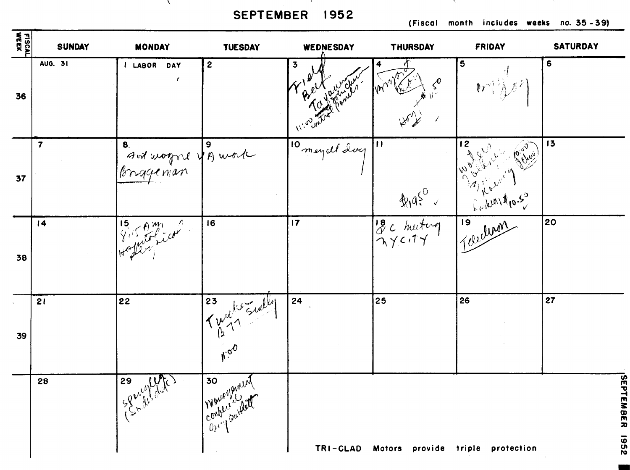SEPTEMBER 1952

the contract of the contract of

and the con-

 $\mathcal{N}$ 

(Fiscal month includes weeks no. 35-39)

and the state

and the con-

 $\sim 10^{-1}$ 

| FISCAL<br>WEEK             | <b>SUNDAY</b>  | <b>MONDAY</b>                                                                                                                                                                                                                                                                                                                                                                                                            | <b>TUESDAY</b>                    | WEDNESDAY               | <b>THURSDAY</b>                  | FRIDAY                                              | <b>SATURDAY</b>                    |
|----------------------------|----------------|--------------------------------------------------------------------------------------------------------------------------------------------------------------------------------------------------------------------------------------------------------------------------------------------------------------------------------------------------------------------------------------------------------------------------|-----------------------------------|-------------------------|----------------------------------|-----------------------------------------------------|------------------------------------|
| 36                         | <b>AUG. 31</b> | I LABOR DAY                                                                                                                                                                                                                                                                                                                                                                                                              | $\boldsymbol{2}$                  | $\overline{\mathbf{3}}$ |                                  | 5<br>$\mathbf{w}^{\text{th}}$                       | 6                                  |
| 37                         | $\overline{7}$ | 8.<br>And wagne up wate                                                                                                                                                                                                                                                                                                                                                                                                  |                                   | 10 meyell day           | $\mathbf{m}$<br>41950            | 12<br>$\mathcal{S}^{\mathcal{S}}$<br>Productions of | 13                                 |
| 38                         | 4              | 15 Am                                                                                                                                                                                                                                                                                                                                                                                                                    | 16                                | $\overline{17}$         | BC hutug                         |                                                     | 20                                 |
| $\ddot{\phantom{a}}$<br>39 | 21             | 22                                                                                                                                                                                                                                                                                                                                                                                                                       | 23<br>$10 \frac{m}{m}$<br>$N^{0}$ | 24                      | 25                               | 26                                                  | 27                                 |
|                            | 28             | 29<br>$152\frac{1}{2}\frac{1}{2}\frac{1}{2}\frac{1}{2}\frac{1}{2}\frac{1}{2}\frac{1}{2}\frac{1}{2}\frac{1}{2}\frac{1}{2}\frac{1}{2}\frac{1}{2}\frac{1}{2}\frac{1}{2}\frac{1}{2}\frac{1}{2}\frac{1}{2}\frac{1}{2}\frac{1}{2}\frac{1}{2}\frac{1}{2}\frac{1}{2}\frac{1}{2}\frac{1}{2}\frac{1}{2}\frac{1}{2}\frac{1}{2}\frac{1}{2}\frac{1}{2}\frac{1}{2}\frac{1}{2}\frac{1}{2}\frac{1}{2}\frac{1}{2}\frac{1}{2}\frac{1}{2}\$ | 30<br>Wenter<br>Marchies          | TRI-CLAD                | Motors provide triple protection |                                                     | <b>SEP</b><br>EMBER<br><b>2261</b> |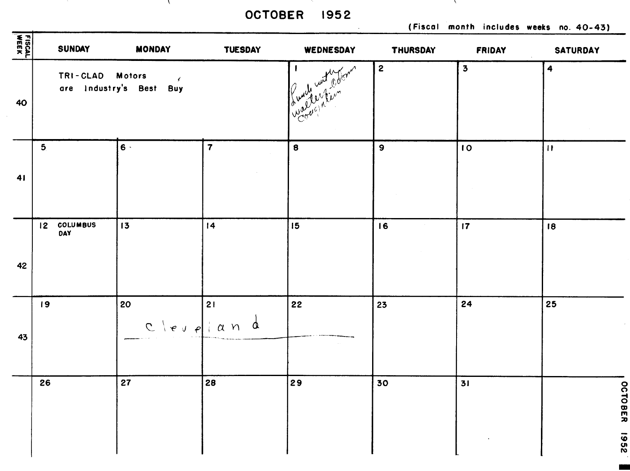OCTOBER 1952

 $\sim$ 

 $\mathcal{N}$ 

(Fiscal month includes weeks no. 40-43)

and Mar

| FISCAL<br>WEEK | <b>SUNDAY</b>      | <b>MONDAY</b>                            | <b>TUESDAY</b>          | WEDNESDAY | THURSDAY       | <b>FRIDAY</b>           | SATURDAY                              |
|----------------|--------------------|------------------------------------------|-------------------------|-----------|----------------|-------------------------|---------------------------------------|
| 40             | TRI-CLAD Motors    | $\mathcal{L}$<br>are Industry's Best Buy |                         | o         | $\overline{2}$ | $\overline{\mathbf{3}}$ | $\ddot{\mathbf{z}}$                   |
| 41             | 5 <sub>1</sub>     | $6 -$                                    | $\overline{\mathbf{7}}$ | $\bf{8}$  | $\mathbf{9}$   | 10                      | $\begin{array}{c} \hline \end{array}$ |
| 42             | 12 COLUMBUS<br>DAY | 13                                       | 14                      | 15        | 16             | 17                      | 18                                    |
| 43             | 19                 | 20<br>$C \mid e \mid e \mid a \mid$      | 21<br>$\alpha$          | 22        | 23             | 24                      | 25                                    |
|                | 26                 | 27                                       | 28                      | 29        | 30             | 31                      | $\delta$<br><b>TOBER</b>              |
|                |                    |                                          |                         |           |                |                         | 7961                                  |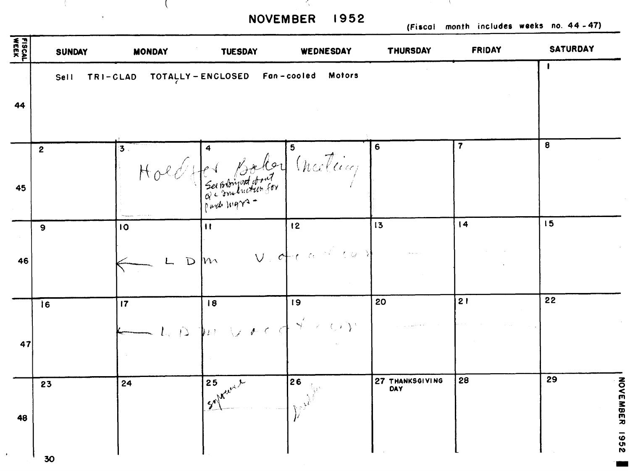NOVEMBER 1952

and the state of the state

in b

 $\mathcal{L} = \mathcal{L} \cup \mathcal{L}$ 

 $\omega$ 

(Fiscal month includes weeks no. 44-47)

 $\sim$  0.00  $\sim$ 

| <b>FISCAL</b> | <b>SUNDAY</b>    | <b>MONDAY</b> | <b>TUESDAY</b>                | WEDNESDAY                                         | <b>THURSDAY</b>        | FRIDAY                  | <b>SATURDAY</b> |
|---------------|------------------|---------------|-------------------------------|---------------------------------------------------|------------------------|-------------------------|-----------------|
|               | <b>Sell</b>      | TRI-CLAD      | TOTALLY - ENCLOSED            | Fan-cooled Motors                                 |                        |                         | $\mathbf{r}$    |
| 44            |                  |               |                               |                                                   |                        |                         |                 |
|               | $\boldsymbol{2}$ | 3.            |                               |                                                   | 6                      | $\overline{\mathbf{7}}$ | 8               |
| 45            |                  |               | Atter Bolor (necleie)         |                                                   |                        |                         |                 |
|               | 9                | 10            | $\mathbf{H}$                  | 12                                                | 13                     | 4                       | 15              |
| 46            |                  |               | $w_1$<br>$\overline{D}$       | $V$ , decased the                                 |                        |                         |                 |
|               | Ì6               | 17            | 8                             | 19                                                | 20                     | 21                      | 22              |
| 47            |                  | $\hat{D}$     | Vrcd<br>$k\not\in \mathbb{N}$ | $S^{\prime}\times OY^{\prime}$                    |                        |                         |                 |
|               | 23               | 24            | 25<br>سلمبين                  | 26<br>$\mathcal{R}_{\mathcal{O}_X \mathcal{M}}$ . | 27 THANKSGIVING<br>DAY | 28                      | 29              |
| 48            |                  |               |                               |                                                   |                        |                         |                 |
|               | 30               |               |                               |                                                   |                        |                         |                 |